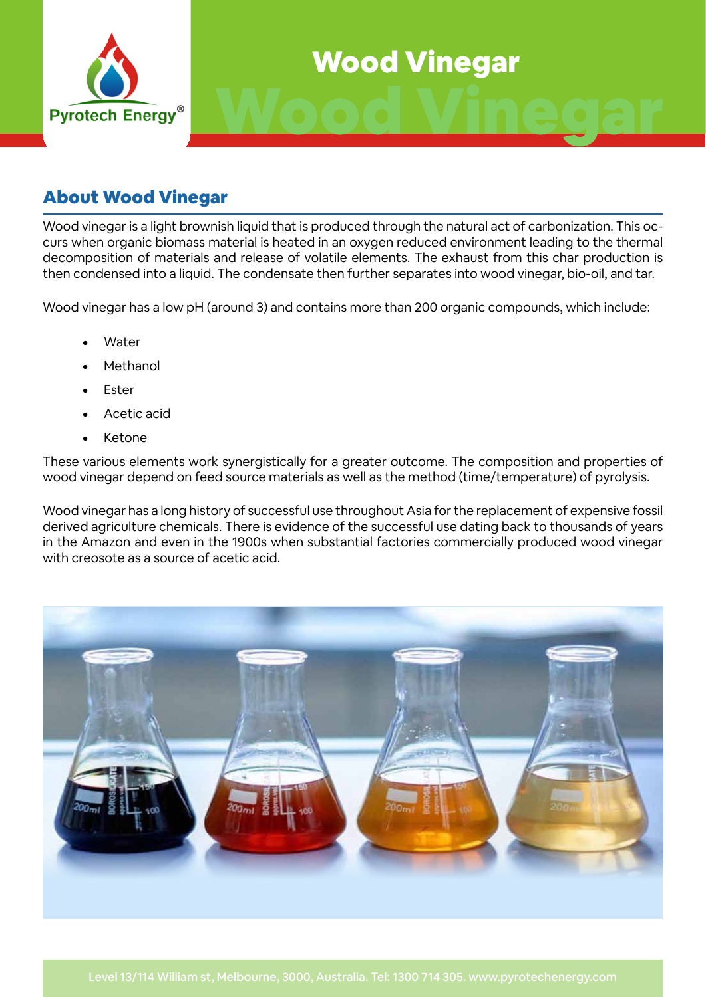

# Wood Vinegar

# About Wood Vinegar

Wood vinegar is a light brownish liquid that is produced through the natural act of carbonization. This occurs when organic biomass material is heated in an oxygen reduced environment leading to the thermal decomposition of materials and release of volatile elements. The exhaust from this char production is then condensed into a liquid. The condensate then further separates into wood vinegar, bio-oil, and tar.

Wood vinegar has a low pH (around 3) and contains more than 200 organic compounds, which include:

- **Water**
- **Methanol**
- **Fster**
- Acetic acid
- **Ketone**

These various elements work synergistically for a greater outcome. The composition and properties of wood vinegar depend on feed source materials as well as the method (time/temperature) of pyrolysis.

Wood vinegar has a long history of successful use throughout Asia for the replacement of expensive fossil derived agriculture chemicals. There is evidence of the successful use dating back to thousands of years in the Amazon and even in the 1900s when substantial factories commercially produced wood vinegar with creosote as a source of acetic acid.

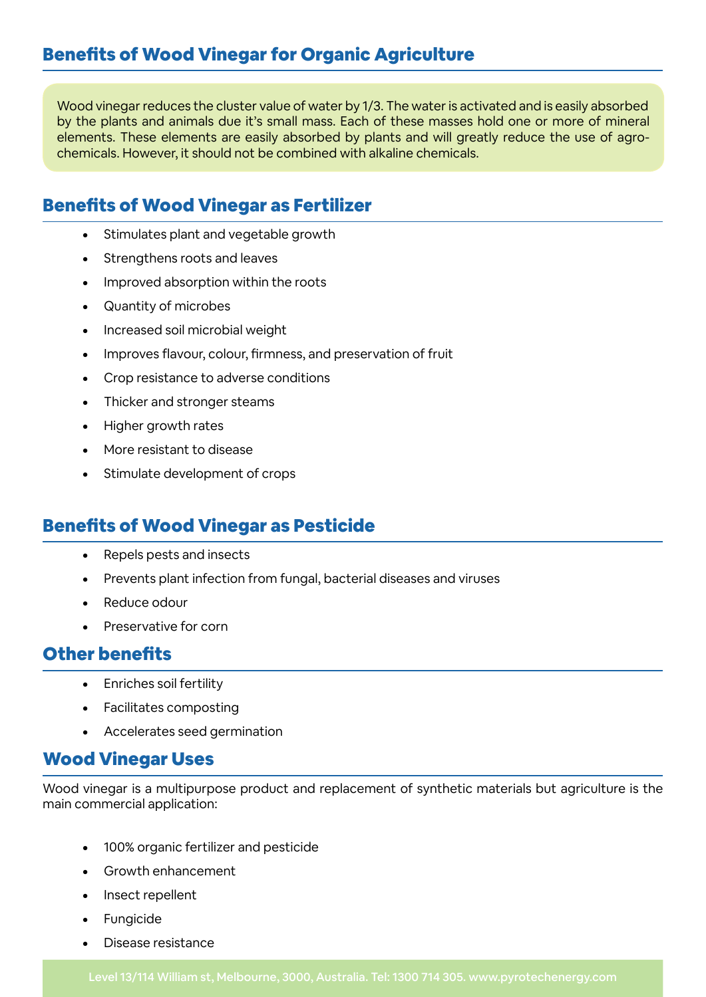Wood vinegar reduces the cluster value of water by 1/3. The water is activated and is easily absorbed by the plants and animals due it's small mass. Each of these masses hold one or more of mineral elements. These elements are easily absorbed by plants and will greatly reduce the use of agrochemicals. However, it should not be combined with alkaline chemicals.

# Benefits of Wood Vinegar as Fertilizer

- • Stimulates plant and vegetable growth
- Strengthens roots and leaves
- Improved absorption within the roots
- **Quantity of microbes**
- • Increased soil microbial weight
- Improves flavour, colour, firmness, and preservation of fruit
- Crop resistance to adverse conditions
- Thicker and stronger steams
- Higher growth rates
- More resistant to disease
- Stimulate development of crops

# Benefits of Wood Vinegar as Pesticide

- • Repels pests and insects
- Prevents plant infection from fungal, bacterial diseases and viruses
- Reduce odour
- **Preservative for corn**

## Other benefits

- • Enriches soil fertility
- **Facilitates composting**
- Accelerates seed germination

## Wood Vinegar Uses

Wood vinegar is a multipurpose product and replacement of synthetic materials but agriculture is the main commercial application:

- 100% organic fertilizer and pesticide
- Growth enhancement
- Insect repellent
- **Fungicide**
- Disease resistance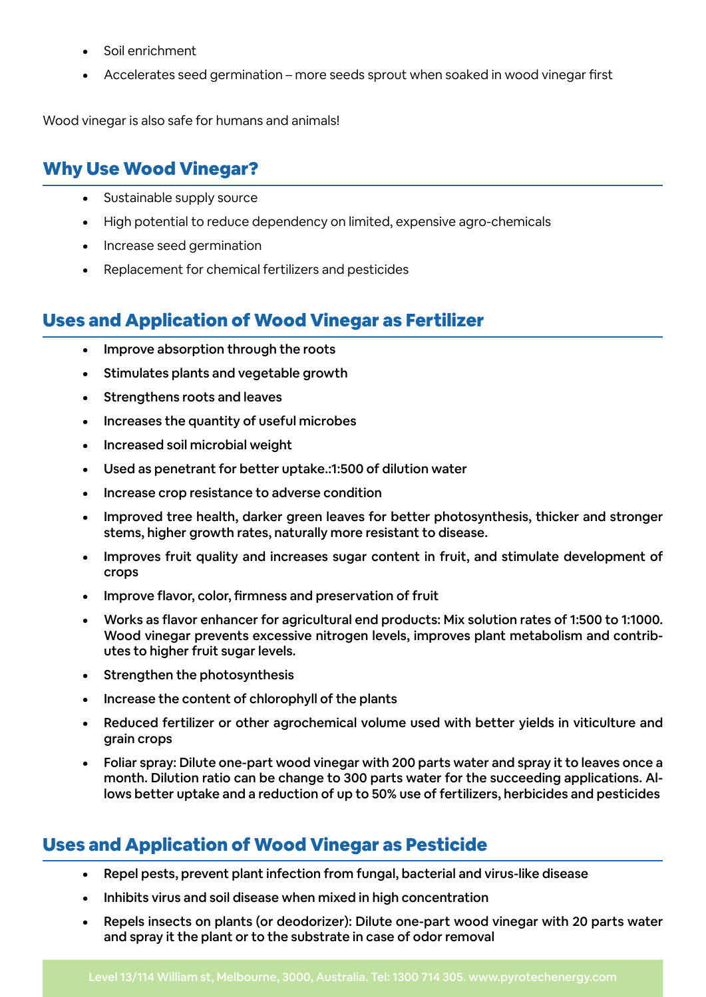- Soil enrichment
- Accelerates seed germination more seeds sprout when soaked in wood vinegar first

Wood vinegar is also safe for humans and animals!

# Why Use Wood Vinegar?

- Sustainable supply source
- High potential to reduce dependency on limited, expensive agro-chemicals
- • Increase seed germination
- Replacement for chemical fertilizers and pesticides

# Uses and Application of Wood Vinegar as Fertilizer

- • Improve absorption through the roots
- • Stimulates plants and vegetable growth
- Strengthens roots and leaves
- Increases the quantity of useful microbes
- Increased soil microbial weight
- Used as penetrant for better uptake.:1:500 of dilution water
- Increase crop resistance to adverse condition
- Improved tree health, darker green leaves for better photosynthesis, thicker and stronger stems, higher growth rates, naturally more resistant to disease.
- Improves fruit quality and increases sugar content in fruit, and stimulate development of crops
- Improve flavor, color, firmness and preservation of fruit
- Works as flavor enhancer for agricultural end products: Mix solution rates of 1:500 to 1:1000. Wood vinegar prevents excessive nitrogen levels, improves plant metabolism and contributes to higher fruit sugar levels.
- Strengthen the photosynthesis
- Increase the content of chlorophyll of the plants
- Reduced fertilizer or other agrochemical volume used with better yields in viticulture and grain crops
- Foliar spray: Dilute one-part wood vinegar with 200 parts water and spray it to leaves once a month. Dilution ratio can be change to 300 parts water for the succeeding applications. Allows better uptake and a reduction of up to 50% use of fertilizers, herbicides and pesticides

# Uses and Application of Wood Vinegar as Pesticide

- Repel pests, prevent plant infection from fungal, bacterial and virus-like disease
- Inhibits virus and soil disease when mixed in high concentration
- Repels insects on plants (or deodorizer): Dilute one-part wood vinegar with 20 parts water and spray it the plant or to the substrate in case of odor removal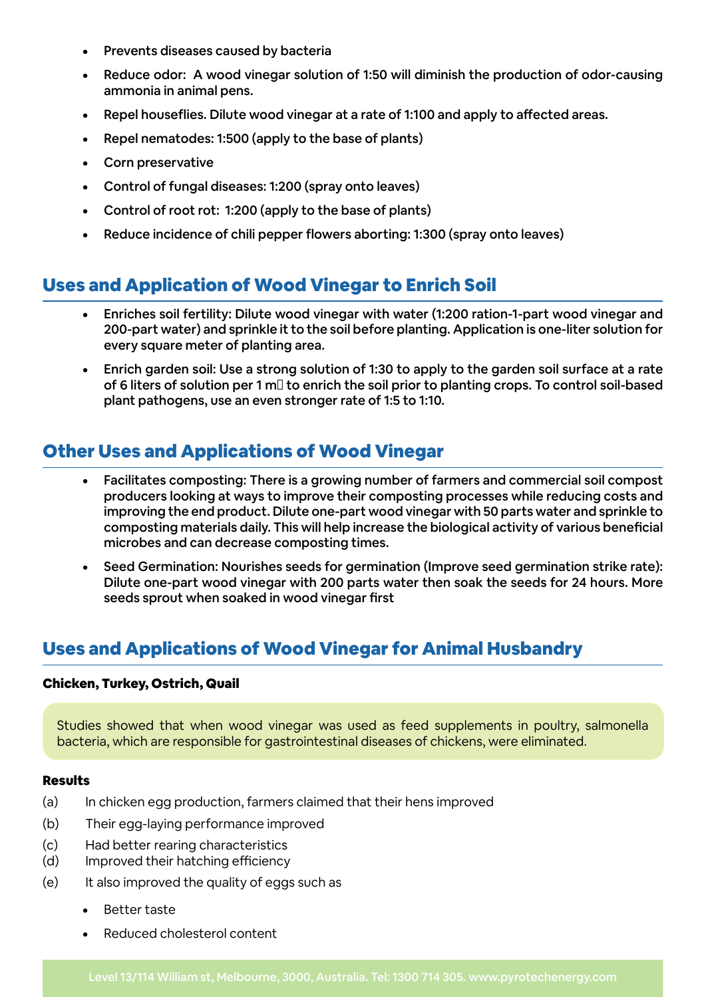- Prevents diseases caused by bacteria
- Reduce odor: A wood vinegar solution of 1:50 will diminish the production of odor-causing ammonia in animal pens.
- Repel houseflies. Dilute wood vinegar at a rate of 1:100 and apply to affected areas.
- Repel nematodes: 1:500 (apply to the base of plants)
- Corn preservative
- Control of fungal diseases: 1:200 (spray onto leaves)
- Control of root rot: 1:200 (apply to the base of plants)
- Reduce incidence of chili pepper flowers aborting: 1:300 (spray onto leaves)

## Uses and Application of Wood Vinegar to Enrich Soil

- Enriches soil fertility: Dilute wood vinegar with water (1:200 ration-1-part wood vinegar and 200-part water) and sprinkle it to the soil before planting. Application is one-liter solution for every square meter of planting area.
- Enrich garden soil: Use a strong solution of 1:30 to apply to the garden soil surface at a rate of 6 liters of solution per 1 m $\Box$  to enrich the soil prior to planting crops. To control soil-based plant pathogens, use an even stronger rate of 1:5 to 1:10.

# Other Uses and Applications of Wood Vinegar

- Facilitates composting: There is a growing number of farmers and commercial soil compost producers looking at ways to improve their composting processes while reducing costs and improving the end product. Dilute one-part wood vinegar with 50 parts water and sprinkle to composting materials daily. This will help increase the biological activity of various beneficial microbes and can decrease composting times.
- Seed Germination: Nourishes seeds for germination (Improve seed germination strike rate): Dilute one-part wood vinegar with 200 parts water then soak the seeds for 24 hours. More seeds sprout when soaked in wood vinegar first

# Uses and Applications of Wood Vinegar for Animal Husbandry

#### Chicken, Turkey, Ostrich, Quail

Studies showed that when wood vinegar was used as feed supplements in poultry, salmonella bacteria, which are responsible for gastrointestinal diseases of chickens, were eliminated.

#### Results

- (a) In chicken egg production, farmers claimed that their hens improved
- (b) Their egg-laying performance improved
- (c) Had better rearing characteristics
- (d) Improved their hatching efficiency
- (e) It also improved the quality of eggs such as
	- **Better taste**
	- Reduced cholesterol content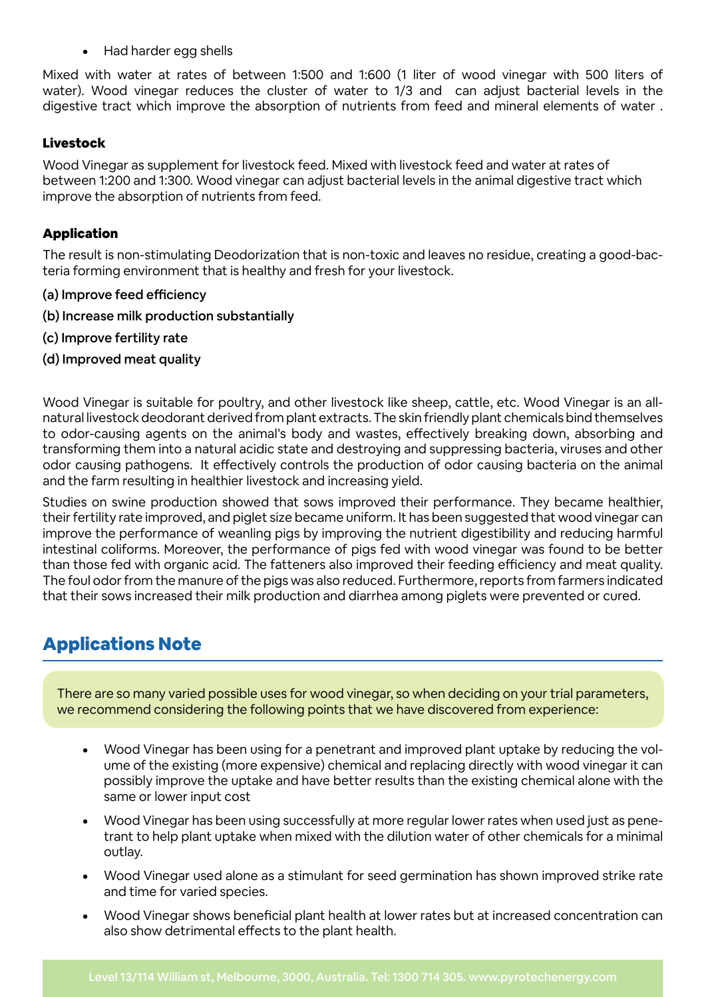• Had harder egg shells

Mixed with water at rates of between 1:500 and 1:600 (1 liter of wood vinegar with 500 liters of water). Wood vinegar reduces the cluster of water to 1/3 and can adjust bacterial levels in the digestive tract which improve the absorption of nutrients from feed and mineral elements of water .

### Livestock

Wood Vinegar as supplement for livestock feed. Mixed with livestock feed and water at rates of between 1:200 and 1:300. Wood vinegar can adjust bacterial levels in the animal digestive tract which improve the absorption of nutrients from feed.

#### Application

The result is non-stimulating Deodorization that is non-toxic and leaves no residue, creating a good-bacteria forming environment that is healthy and fresh for your livestock.

- (a) Improve feed efficiency
- (b) Increase milk production substantially
- (c) Improve fertility rate
- (d) Improved meat quality

Wood Vinegar is suitable for poultry, and other livestock like sheep, cattle, etc. Wood Vinegar is an allnatural livestock deodorant derived from plant extracts. The skin friendly plant chemicals bind themselves to odor-causing agents on the animal's body and wastes, effectively breaking down, absorbing and transforming them into a natural acidic state and destroying and suppressing bacteria, viruses and other odor causing pathogens. It effectively controls the production of odor causing bacteria on the animal and the farm resulting in healthier livestock and increasing yield.

Studies on swine production showed that sows improved their performance. They became healthier, their fertility rate improved, and piglet size became uniform. It has been suggested that wood vinegar can improve the performance of weanling pigs by improving the nutrient digestibility and reducing harmful intestinal coliforms. Moreover, the performance of pigs fed with wood vinegar was found to be better than those fed with organic acid. The fatteners also improved their feeding efficiency and meat quality. The foul odor from the manure of the pigs was also reduced. Furthermore, reports from farmers indicated that their sows increased their milk production and diarrhea among piglets were prevented or cured.

# Applications Note

There are so many varied possible uses for wood vinegar, so when deciding on your trial parameters, we recommend considering the following points that we have discovered from experience:

- Wood Vinegar has been using for a penetrant and improved plant uptake by reducing the volume of the existing (more expensive) chemical and replacing directly with wood vinegar it can possibly improve the uptake and have better results than the existing chemical alone with the same or lower input cost
- Wood Vinegar has been using successfully at more regular lower rates when used just as penetrant to help plant uptake when mixed with the dilution water of other chemicals for a minimal outlay.
- Wood Vinegar used alone as a stimulant for seed germination has shown improved strike rate and time for varied species.
- Wood Vinegar shows beneficial plant health at lower rates but at increased concentration can also show detrimental effects to the plant health.